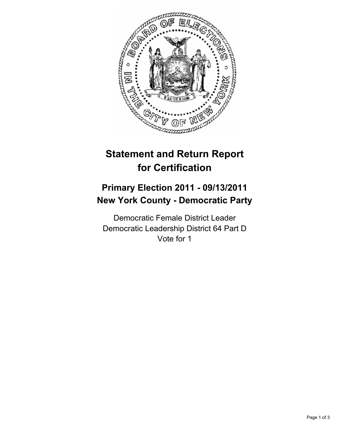

# **Statement and Return Report for Certification**

## **Primary Election 2011 - 09/13/2011 New York County - Democratic Party**

Democratic Female District Leader Democratic Leadership District 64 Part D Vote for 1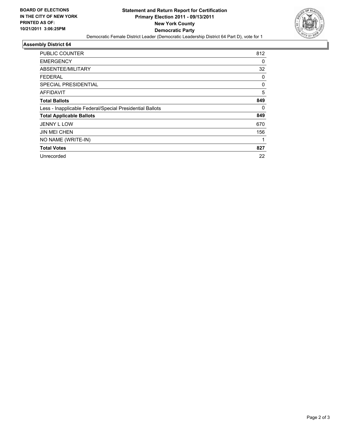

### **Assembly District 64**

| <b>PUBLIC COUNTER</b>                                    | 812 |
|----------------------------------------------------------|-----|
| <b>EMERGENCY</b>                                         | 0   |
| ABSENTEE/MILITARY                                        | 32  |
| FEDERAL                                                  | 0   |
| <b>SPECIAL PRESIDENTIAL</b>                              | 0   |
| <b>AFFIDAVIT</b>                                         | 5   |
| <b>Total Ballots</b>                                     | 849 |
| Less - Inapplicable Federal/Special Presidential Ballots | 0   |
| <b>Total Applicable Ballots</b>                          | 849 |
| <b>JENNY L LOW</b>                                       | 670 |
| <b>JIN MEI CHEN</b>                                      | 156 |
| NO NAME (WRITE-IN)                                       |     |
| <b>Total Votes</b>                                       | 827 |
| Unrecorded                                               | 22  |